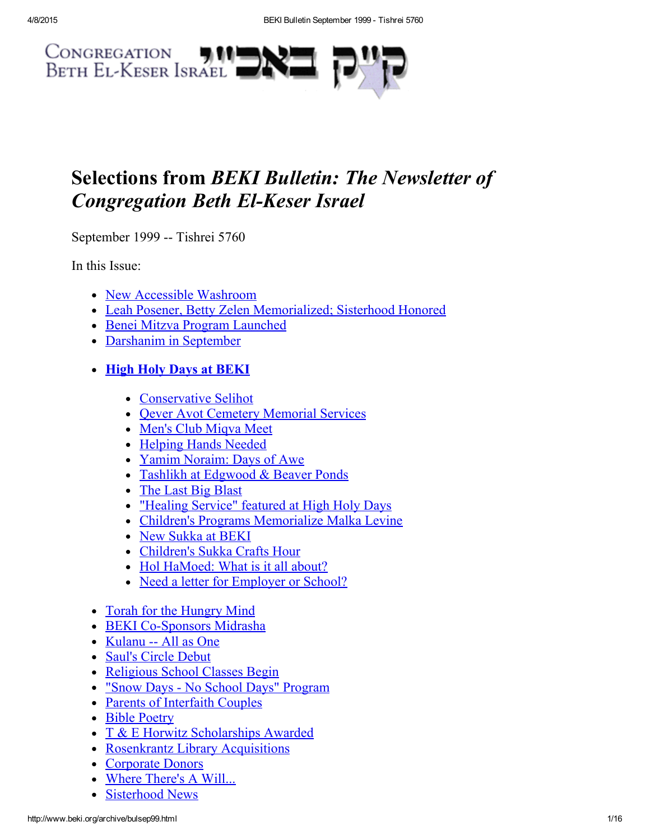

# Selections from BEKI Bulletin: The Newsletter of **Congregation Beth El-Keser Israel**

September 1999 -- Tishrei 5760

In this Issue:

- New Accessible [Washroom](#page-1-0)
- Leah Posener, Betty Zelen [Memorialized;](#page-1-1) Sisterhood Honored
- Benei Mitzva Program [Launched](#page-2-0)
- [Darshanim](#page-3-3) in September

# • High Holy Days at [BEKI](#page-3-2)

- [Conservative](#page-3-1) Selihot
- Oever Avot Cemetery [Memorial](#page-3-0) Services
- Men's Club [Miqva](#page-4-1) Meet
- [Helping](#page-4-2) Hands Needed
- Yamim [Noraim:](#page-4-0) Days of Awe
- Tashlikh at [Edgwood](#page-5-1) & Beaver Ponds  $\bullet$
- The Last Big [Blast](#page-5-0)
- ["Healing](#page-6-1) Service" featured at High Holy Days
- Children's Programs [Memorialize](#page-6-2) Malka Levine
- New [Sukka](#page-6-0) at BEKI
- [Children's](#page-7-1) Sukka Crafts Hour
- Hol [HaMoed:](#page-7-0) What is it all about?
- Need a letter for [Employer](#page-7-2) or School?
- Torah for the [Hungry](#page-8-1) Mind
- BEKI Co-Sponsors Midrasha
- [Kulanu](#page-9-0) -- All as One
- Saul's Circle [Debut](#page-9-1)
- [Religious](#page-10-0) School Classes Begin
- "Snow Days No School Days" [Program](#page-10-1)
- Parents of [Interfaith](#page-11-3) Couples
- Bible [Poetry](#page-11-1)
- T & E Horwitz [Scholarships](#page-11-2) Awarded
- Rosenkrantz Library [Acquisitions](#page-11-0)
- [Corporate](#page-12-0) Donors
- Where [There's](#page-12-1) A Will...
- [Sisterhood](#page-13-0) News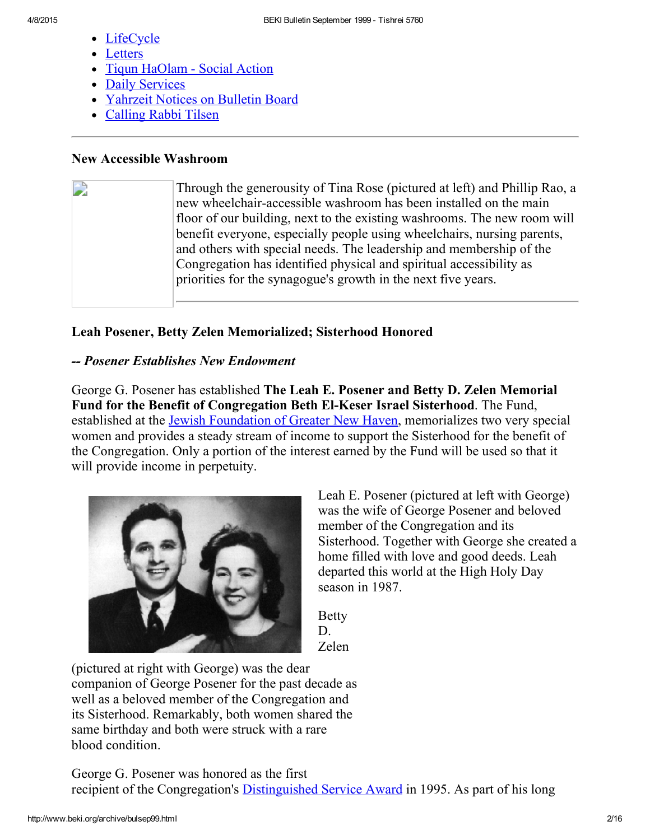- **[LifeCycle](#page-13-2)**
- **[Letters](#page-13-1)**
- Tiqun [HaOlam](#page-14-2) Social Action
- Daily [Services](#page-14-1)
- [Yahrzeit](#page-14-0) Notices on Bulletin Board
- [Calling](#page-15-0) Rabbi Tilsen

# <span id="page-1-0"></span>New Accessible Washroom

D Through the generousity of Tina Rose (pictured at left) and Phillip Rao, a new wheelchair-accessible washroom has been installed on the main floor of our building, next to the existing washrooms. The new room will benefit everyone, especially people using wheelchairs, nursing parents, and others with special needs. The leadership and membership of the Congregation has identified physical and spiritual accessibility as priorities for the synagogue's growth in the next five years.

# <span id="page-1-1"></span>Leah Posener, Betty Zelen Memorialized; Sisterhood Honored

# Posener Establishes New Endowment

George G. Posener has established The Leah E. Posener and Betty D. Zelen Memorial Fund for the Benefit of Congregation Beth El-Keser Israel Sisterhood. The Fund, established at the Jewish [Foundation](http://www.jewishnewhaven.org/FOUNDTN.htm) of Greater New Haven, memorializes two very special women and provides a steady stream of income to support the Sisterhood for the benefit of the Congregation. Only a portion of the interest earned by the Fund will be used so that it will provide income in perpetuity.



Leah E. Posener (pictured at left with George) was the wife of George Posener and beloved member of the Congregation and its Sisterhood. Together with George she created a home filled with love and good deeds. Leah departed this world at the High Holy Day season in 1987.

Betty D. Zelen

(pictured at right with George) was the dear companion of George Posener for the past decade as well as a beloved member of the Congregation and its Sisterhood. Remarkably, both women shared the same birthday and both were struck with a rare blood condition.

George G. Posener was honored as the first recipient of the Congregation's [Distinguished](http://www.beki.org/archive/distinguished.html#george) Service Award in 1995. As part of his long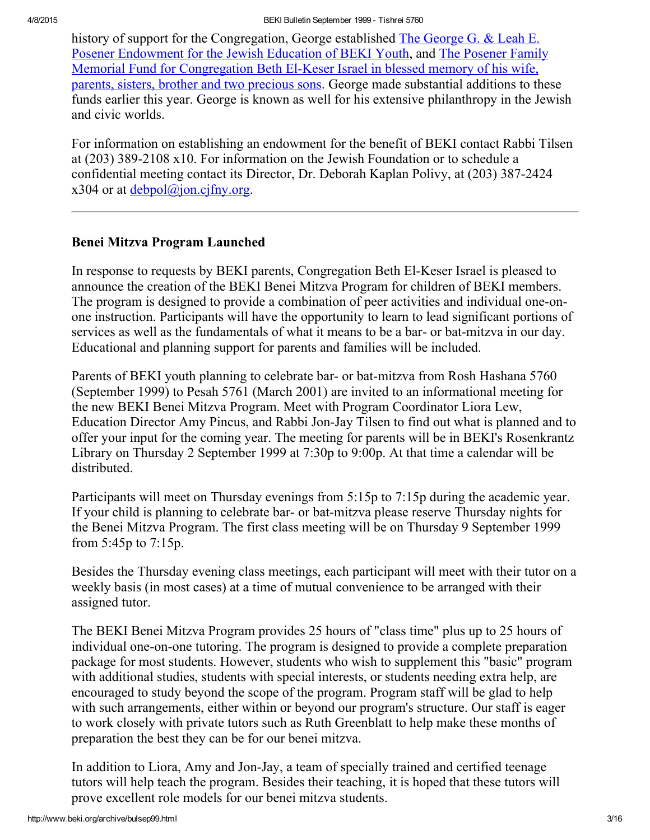history of support for the [Congregation,](http://www.beki.org/archive/endowment.html#PosenerYouth) George established The George G. & Leah E. Posener Endowment for the Jewish Education of BEKI Youth, and The Posener Family Memorial Fund for [Congregation](http://www.beki.org/archive/endowment.html#Posener) Beth El-Keser Israel in blessed memory of his wife, parents, sisters, brother and two precious sons. George made substantial additions to these funds earlier this year. George is known as well for his extensive philanthropy in the Jewish and civic worlds.

For information on establishing an endowment for the benefit of BEKI contact Rabbi Tilsen at  $(203)$  389-2108 x10. For information on the Jewish Foundation or to schedule a confidential meeting contact its Director, Dr. Deborah Kaplan Polivy, at (203) 387-2424  $x304$  or at debpol $\omega$ ion.cifny.org.

# <span id="page-2-0"></span>Benei Mitzva Program Launched

In response to requests by BEKI parents, Congregation Beth El-Keser Israel is pleased to announce the creation of the BEKI Benei Mitzva Program for children of BEKI members. The program is designed to provide a combination of peer activities and individual one-onone instruction. Participants will have the opportunity to learn to lead significant portions of services as well as the fundamentals of what it means to be a bar- or bat-mitzva in our day. Educational and planning support for parents and families will be included.

Parents of BEKI youth planning to celebrate bar- or bat-mitzva from Rosh Hashana 5760 (September 1999) to Pesah 5761 (March 2001) are invited to an informational meeting for the new BEKI Benei Mitzva Program. Meet with Program Coordinator Liora Lew, Education Director Amy Pincus, and Rabbi Jon-Jay Tilsen to find out what is planned and to offer your input for the coming year. The meeting for parents will be in BEKI's Rosenkrantz Library on Thursday 2 September 1999 at 7:30p to 9:00p. At that time a calendar will be distributed.

Participants will meet on Thursday evenings from 5:15p to 7:15p during the academic year. If your child is planning to celebrate bar- or bat-mitzva please reserve Thursday nights for the Benei Mitzva Program. The first class meeting will be on Thursday 9 September 1999 from 5:45p to 7:15p.

Besides the Thursday evening class meetings, each participant will meet with their tutor on a weekly basis (in most cases) at a time of mutual convenience to be arranged with their assigned tutor.

The BEKI Benei Mitzva Program provides 25 hours of "class time" plus up to 25 hours of individual one-on-one tutoring. The program is designed to provide a complete preparation package for most students. However, students who wish to supplement this "basic" program with additional studies, students with special interests, or students needing extra help, are encouraged to study beyond the scope of the program. Program staff will be glad to help with such arrangements, either within or beyond our program's structure. Our staff is eager to work closely with private tutors such as Ruth Greenblatt to help make these months of preparation the best they can be for our benei mitzva.

In addition to Liora, Amy and Jon-Jay, a team of specially trained and certified teenage tutors will help teach the program. Besides their teaching, it is hoped that these tutors will prove excellent role models for our benei mitzva students.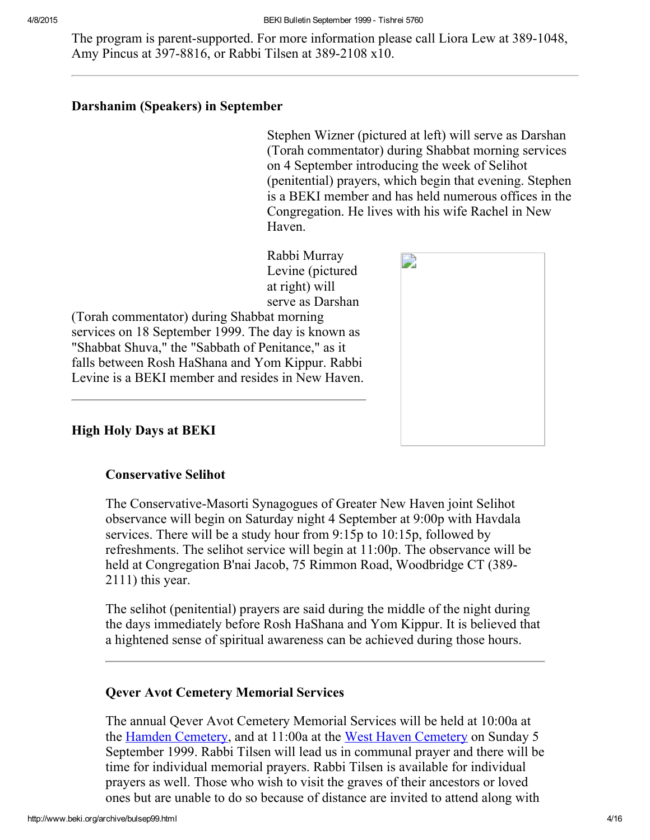The program is parent-supported. For more information please call Liora Lew at 389-1048, Amy Pincus at 397-8816, or Rabbi Tilsen at 389-2108 x10.

### <span id="page-3-3"></span>Darshanim (Speakers) in September

Stephen Wizner (pictured at left) will serve as Darshan (Torah commentator) during Shabbat morning services on 4 September introducing the week of Selihot (penitential) prayers, which begin that evening. Stephen is a BEKI member and has held numerous offices in the Congregation. He lives with his wife Rachel in New Haven.

Rabbi Murray Levine (pictured at right) will serve as Darshan

(Torah commentator) during Shabbat morning services on 18 September 1999. The day is known as "Shabbat Shuva," the "Sabbath of Penitance," as it falls between Rosh HaShana and Yom Kippur. Rabbi Levine is a BEKI member and resides in New Haven.



# <span id="page-3-2"></span>High Holy Days at BEKI

### <span id="page-3-1"></span>Conservative Selihot

The Conservative-Masorti Synagogues of Greater New Haven joint Selihot observance will begin on Saturday night 4 September at 9:00p with Havdala services. There will be a study hour from 9:15p to 10:15p, followed by refreshments. The selihot service will begin at 11:00p. The observance will be held at Congregation B'nai Jacob, 75 Rimmon Road, Woodbridge CT (389 2111) this year.

The selihot (penitential) prayers are said during the middle of the night during the days immediately before Rosh HaShana and Yom Kippur. It is believed that a hightened sense of spiritual awareness can be achieved during those hours.

# <span id="page-3-0"></span>Qever Avot Cemetery Memorial Services

The annual Qever Avot Cemetery Memorial Services will be held at 10:00a at the Hamden [Cemetery,](http://www.beki.org/archive/findbemp.html) and at 11:00a at the West Haven [Cemetery](http://www.beki.org/archive/findkimp.html) on Sunday 5 September 1999. Rabbi Tilsen will lead us in communal prayer and there will be time for individual memorial prayers. Rabbi Tilsen is available for individual prayers as well. Those who wish to visit the graves of their ancestors or loved ones but are unable to do so because of distance are invited to attend along with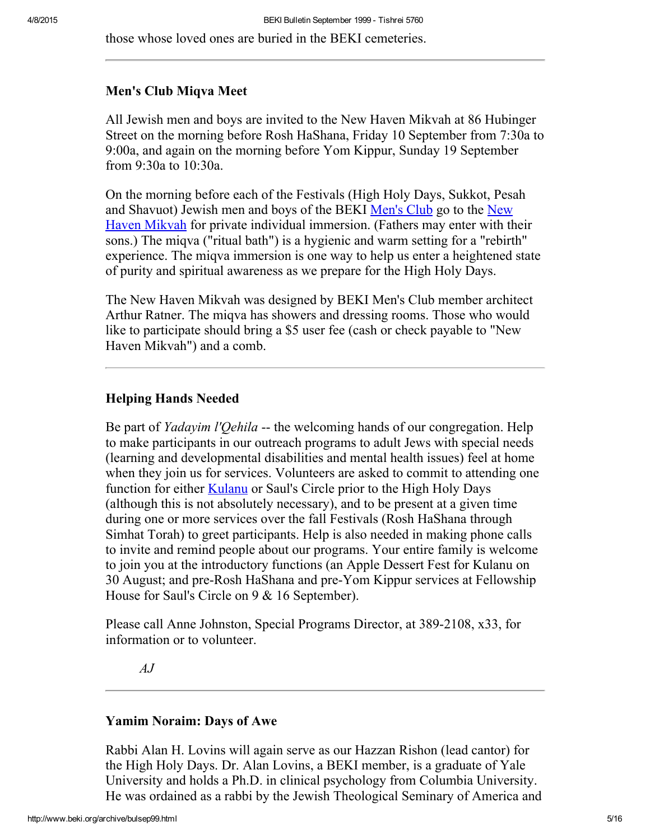those whose loved ones are buried in the BEKI cemeteries.

#### <span id="page-4-1"></span>Men's Club Miqva Meet

All Jewish men and boys are invited to the New Haven Mikvah at 86 Hubinger Street on the morning before Rosh HaShana, Friday 10 September from 7:30a to 9:00a, and again on the morning before Yom Kippur, Sunday 19 September from 9:30a to 10:30a.

On the morning before each of the Festivals (High Holy Days, Sukkot, Pesah and Shavuot) Jewish men and boys of the BEKI [Men's](http://www.beki.org/archive/mensclub.html) Club go to the New Haven Mikvah for private individual [immersion.](http://www.beki.org/archive/mapnear.html) (Fathers may enter with their sons.) The miqva ("ritual bath") is a hygienic and warm setting for a "rebirth" experience. The miqva immersion is one way to help us enter a heightened state of purity and spiritual awareness as we prepare for the High Holy Days.

The New Haven Mikvah was designed by BEKI Men's Club member architect Arthur Ratner. The miqva has showers and dressing rooms. Those who would like to participate should bring a \$5 user fee (cash or check payable to "New Haven Mikvah") and a comb.

### <span id="page-4-2"></span>Helping Hands Needed

Be part of *Yadayim l'Oehila* -- the welcoming hands of our congregation. Help to make participants in our outreach programs to adult Jews with special needs (learning and developmental disabilities and mental health issues) feel at home when they join us for services. Volunteers are asked to commit to attending one function for either **[Kulanu](http://www.beki.org/archive/kulanu.html)** or Saul's Circle prior to the High Holy Days (although this is not absolutely necessary), and to be present at a given time during one or more services over the fall Festivals (Rosh HaShana through Simhat Torah) to greet participants. Help is also needed in making phone calls to invite and remind people about our programs. Your entire family is welcome to join you at the introductory functions (an Apple Dessert Fest for Kulanu on 30 August; and pre-Rosh HaShana and pre-Yom Kippur services at Fellowship House for Saul's Circle on 9 & 16 September).

Please call Anne Johnston, Special Programs Director, at 389-2108, x33, for information or to volunteer.

AJ

#### <span id="page-4-0"></span>Yamim Noraim: Days of Awe

Rabbi Alan H. Lovins will again serve as our Hazzan Rishon (lead cantor) for the High Holy Days. Dr. Alan Lovins, a BEKI member, is a graduate of Yale University and holds a Ph.D. in clinical psychology from Columbia University. He was ordained as a rabbi by the Jewish Theological Seminary of America and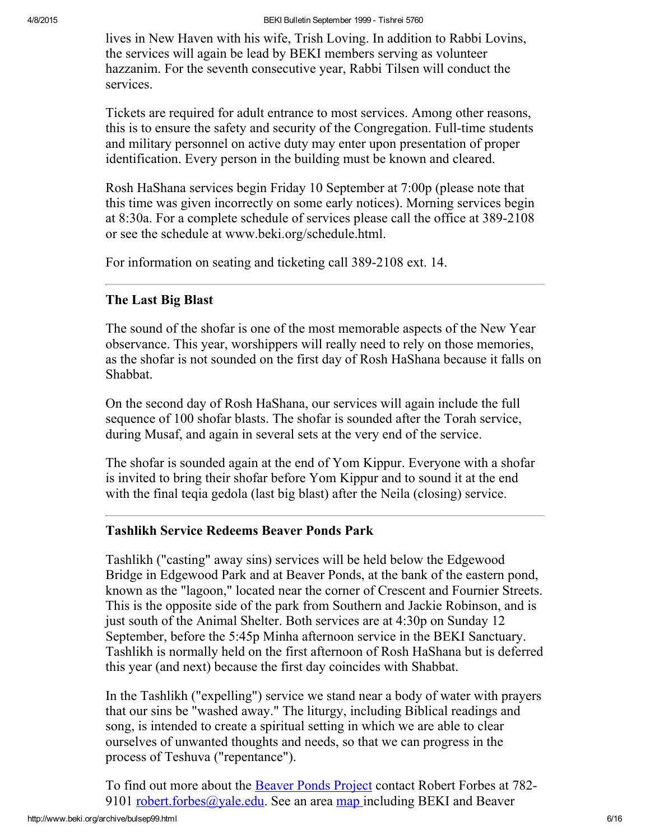lives in New Haven with his wife, Trish Loving. In addition to Rabbi Lovins, the services will again be lead by BEKI members serving as volunteer hazzanim. For the seventh consecutive year, Rabbi Tilsen will conduct the services.

Tickets are required for adult entrance to most services. Among other reasons, this is to ensure the safety and security of the Congregation. Full-time students and military personnel on active duty may enter upon presentation of proper identification. Every person in the building must be known and cleared.

Rosh HaShana services begin Friday 10 September at 7:00p (please note that this time was given incorrectly on some early notices). Morning services begin at 8:30a. For a complete schedule of services please call the office at 389-2108 or see the schedule at www.beki.org/schedule.html.

For information on seating and ticketing call 389-2108 ext. 14.

# <span id="page-5-0"></span>The Last Big Blast

The sound of the shofar is one of the most memorable aspects of the New Year observance. This year, worshippers will really need to rely on those memories, as the shofar is not sounded on the first day of Rosh HaShana because it falls on Shabbat.

On the second day of Rosh HaShana, our services will again include the full sequence of 100 shofar blasts. The shofar is sounded after the Torah service, during Musaf, and again in several sets at the very end of the service.

The shofar is sounded again at the end of Yom Kippur. Everyone with a shofar is invited to bring their shofar before Yom Kippur and to sound it at the end with the final teqia gedola (last big blast) after the Neila (closing) service.

# <span id="page-5-1"></span>Tashlikh Service Redeems Beaver Ponds Park

Tashlikh ("casting" away sins) services will be held below the Edgewood Bridge in Edgewood Park and at Beaver Ponds, at the bank of the eastern pond, known as the "lagoon," located near the corner of Crescent and Fournier Streets. This is the opposite side of the park from Southern and Jackie Robinson, and is just south of the Animal Shelter. Both services are at 4:30p on Sunday 12 September, before the 5:45p Minha afternoon service in the BEKI Sanctuary. Tashlikh is normally held on the first afternoon of Rosh HaShana but is deferred this year (and next) because the first day coincides with Shabbat.

In the Tashlikh ("expelling") service we stand near a body of water with prayers that our sins be "washed away." The liturgy, including Biblical readings and song, is intended to create a spiritual setting in which we are able to clear ourselves of unwanted thoughts and needs, so that we can progress in the process of Teshuva ("repentance").

To find out more about the Beaver Ponds [Project](http://www.beki.org/archive/tiqunola.html#beaverpond) contact Robert Forbes at 782 9101 [robert.forbes@yale.edu.](mailto:robert.forbes@yale.edu) See an area [map](http://www.beki.org/archive/map.html) including BEKI and Beaver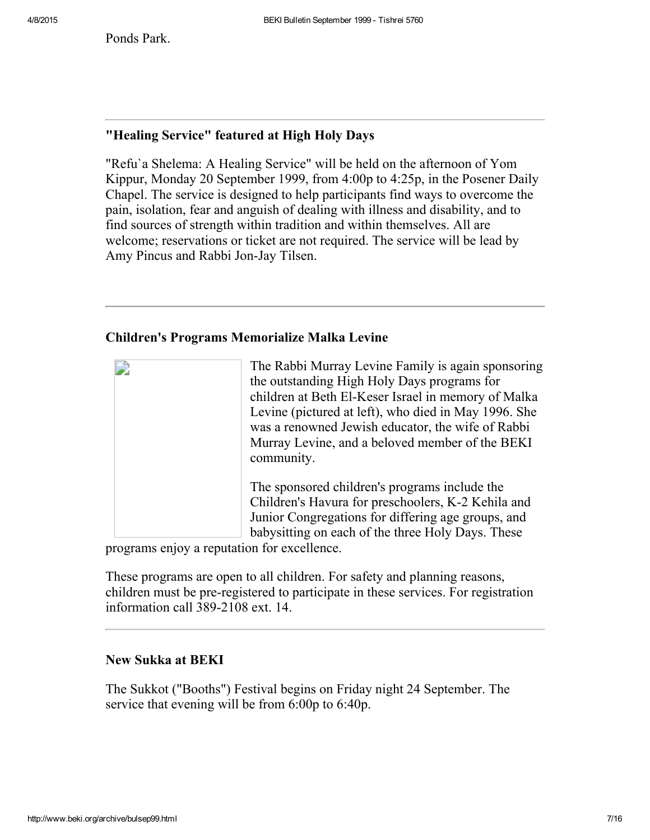Ponds Park.

# <span id="page-6-1"></span>"Healing Service" featured at High Holy Days

"Refu`a Shelema: A Healing Service" will be held on the afternoon of Yom Kippur, Monday 20 September 1999, from 4:00p to 4:25p, in the Posener Daily Chapel. The service is designed to help participants find ways to overcome the pain, isolation, fear and anguish of dealing with illness and disability, and to find sources of strength within tradition and within themselves. All are welcome; reservations or ticket are not required. The service will be lead by Amy Pincus and Rabbi Jon-Jay Tilsen.

### <span id="page-6-2"></span>Children's Programs Memorialize Malka Levine

| The Rabbi Murray Levine Family is again sponsoring<br>the outstanding High Holy Days programs for<br>children at Beth El-Keser Israel in memory of Malka<br>Levine (pictured at left), who died in May 1996. She<br>was a renowned Jewish educator, the wife of Rabbi<br>Murray Levine, and a beloved member of the BEKI<br>community. |
|----------------------------------------------------------------------------------------------------------------------------------------------------------------------------------------------------------------------------------------------------------------------------------------------------------------------------------------|
| The sponsored children's programs include the<br>Children's Havura for preschoolers, K-2 Kehila and<br>Junior Congregations for differing age groups, and<br>babysitting on each of the three Holy Days. These                                                                                                                         |

programs enjoy a reputation for excellence.

These programs are open to all children. For safety and planning reasons, children must be pre-registered to participate in these services. For registration information call 389-2108 ext. 14.

#### <span id="page-6-0"></span>New Sukka at BEKI

The Sukkot ("Booths") Festival begins on Friday night 24 September. The service that evening will be from 6:00p to 6:40p.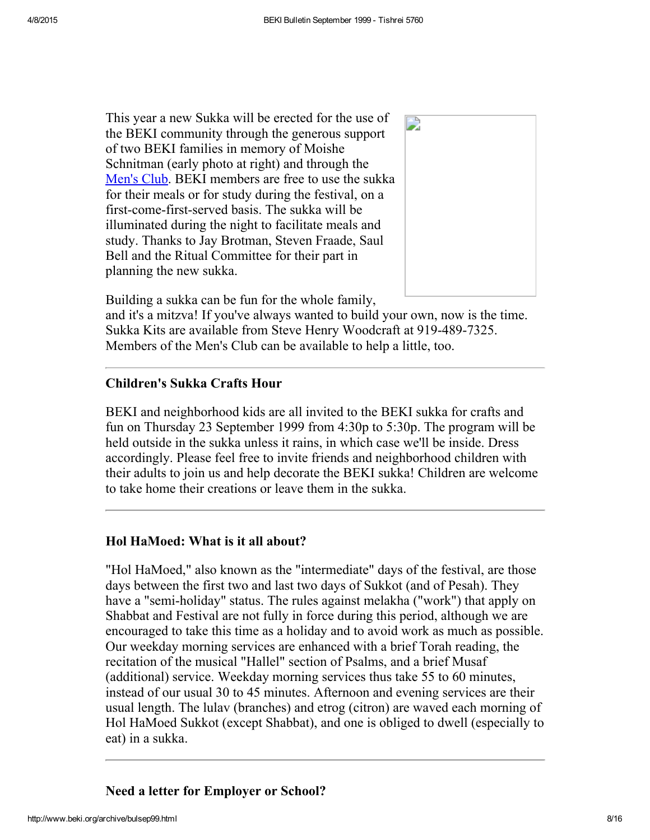This year a new Sukka will be erected for the use of the BEKI community through the generous support of two BEKI families in memory of Moishe Schnitman (early photo at right) and through the [Men's](http://www.beki.org/archive/mensclub.html) Club. BEKI members are free to use the sukka for their meals or for study during the festival, on a first-come-first-served basis. The sukka will be illuminated during the night to facilitate meals and study. Thanks to Jay Brotman, Steven Fraade, Saul Bell and the Ritual Committee for their part in planning the new sukka.



Building a sukka can be fun for the whole family,

and it's a mitzva! If you've always wanted to build your own, now is the time. Sukka Kits are available from Steve Henry Woodcraft at 919-489-7325. Members of the Men's Club can be available to help a little, too.

### <span id="page-7-1"></span>Children's Sukka Crafts Hour

BEKI and neighborhood kids are all invited to the BEKI sukka for crafts and fun on Thursday 23 September 1999 from 4:30p to 5:30p. The program will be held outside in the sukka unless it rains, in which case we'll be inside. Dress accordingly. Please feel free to invite friends and neighborhood children with their adults to join us and help decorate the BEKI sukka! Children are welcome to take home their creations or leave them in the sukka.

### <span id="page-7-0"></span>Hol HaMoed: What is it all about?

"Hol HaMoed," also known as the "intermediate" days of the festival, are those days between the first two and last two days of Sukkot (and of Pesah). They have a "semi-holiday" status. The rules against melakha ("work") that apply on Shabbat and Festival are not fully in force during this period, although we are encouraged to take this time as a holiday and to avoid work as much as possible. Our weekday morning services are enhanced with a brief Torah reading, the recitation of the musical "Hallel" section of Psalms, and a brief Musaf (additional) service. Weekday morning services thus take 55 to 60 minutes, instead of our usual 30 to 45 minutes. Afternoon and evening services are their usual length. The lulav (branches) and etrog (citron) are waved each morning of Hol HaMoed Sukkot (except Shabbat), and one is obliged to dwell (especially to eat) in a sukka.

### <span id="page-7-2"></span>Need a letter for Employer or School?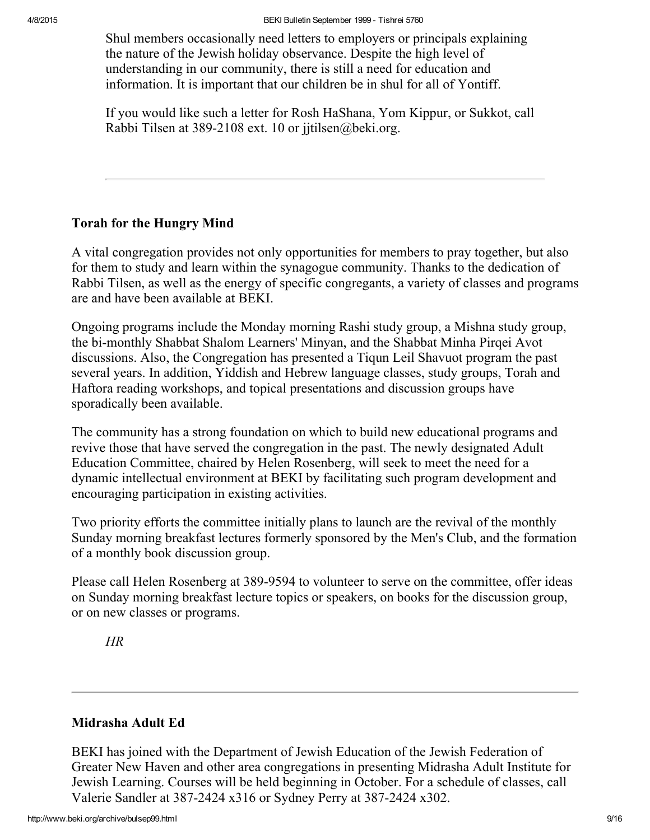Shul members occasionally need letters to employers or principals explaining the nature of the Jewish holiday observance. Despite the high level of understanding in our community, there is still a need for education and information. It is important that our children be in shul for all of Yontiff.

If you would like such a letter for Rosh HaShana, Yom Kippur, or Sukkot, call Rabbi Tilsen at 389-2108 ext. 10 or jitilsen@beki.org.

# <span id="page-8-1"></span>Torah for the Hungry Mind

A vital congregation provides not only opportunities for members to pray together, but also for them to study and learn within the synagogue community. Thanks to the dedication of Rabbi Tilsen, as well as the energy of specific congregants, a variety of classes and programs are and have been available at BEKI.

Ongoing programs include the Monday morning Rashi study group, a Mishna study group, the bi-monthly Shabbat Shalom Learners' Minyan, and the Shabbat Minha Pirqei Avot discussions. Also, the Congregation has presented a Tiqun Leil Shavuot program the past several years. In addition, Yiddish and Hebrew language classes, study groups, Torah and Haftora reading workshops, and topical presentations and discussion groups have sporadically been available.

The community has a strong foundation on which to build new educational programs and revive those that have served the congregation in the past. The newly designated Adult Education Committee, chaired by Helen Rosenberg, will seek to meet the need for a dynamic intellectual environment at BEKI by facilitating such program development and encouraging participation in existing activities.

Two priority efforts the committee initially plans to launch are the revival of the monthly Sunday morning breakfast lectures formerly sponsored by the Men's Club, and the formation of a monthly book discussion group.

Please call Helen Rosenberg at 389-9594 to volunteer to serve on the committee, offer ideas on Sunday morning breakfast lecture topics or speakers, on books for the discussion group, or on new classes or programs.

HR

# <span id="page-8-0"></span>Midrasha Adult Ed

BEKI has joined with the Department of Jewish Education of the Jewish Federation of Greater New Haven and other area congregations in presenting Midrasha Adult Institute for Jewish Learning. Courses will be held beginning in October. For a schedule of classes, call Valerie Sandler at 387-2424 x316 or Sydney Perry at 387-2424 x302.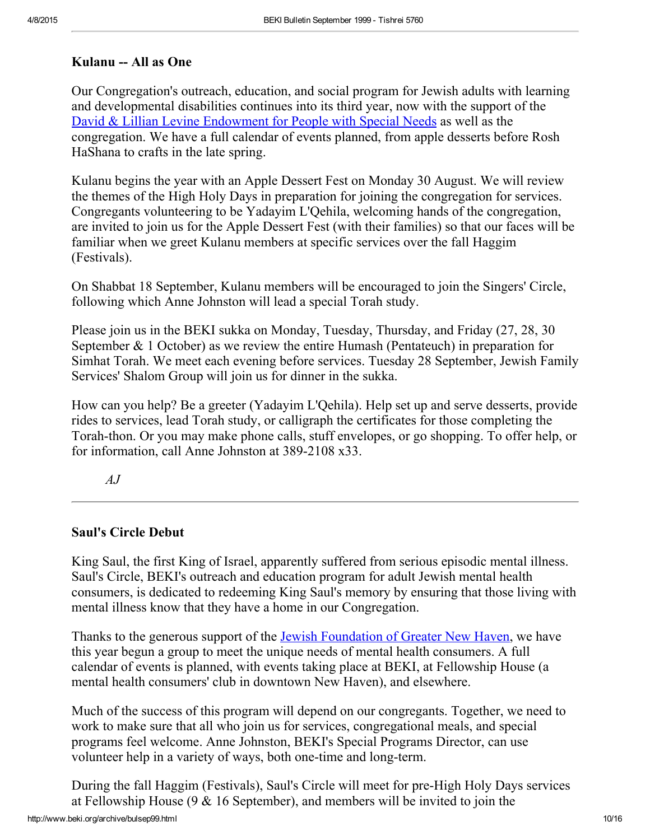### <span id="page-9-0"></span>Kulanu -- All as One

Our Congregation's outreach, education, and social program for Jewish adults with learning and developmental disabilities continues into its third year, now with the support of the David & Lillian Levine [Endowment](http://www.beki.org/archive/endowment.html#dllevine) for People with Special Needs as well as the congregation. We have a full calendar of events planned, from apple desserts before Rosh HaShana to crafts in the late spring.

Kulanu begins the year with an Apple Dessert Fest on Monday 30 August. We will review the themes of the High Holy Days in preparation for joining the congregation for services. Congregants volunteering to be Yadayim L'Qehila, welcoming hands of the congregation, are invited to join us for the Apple Dessert Fest (with their families) so that our faces will be familiar when we greet Kulanu members at specific services over the fall Haggim (Festivals).

On Shabbat 18 September, Kulanu members will be encouraged to join the Singers' Circle, following which Anne Johnston will lead a special Torah study.

Please join us in the BEKI sukka on Monday, Tuesday, Thursday, and Friday (27, 28, 30 September & 1 October) as we review the entire Humash (Pentateuch) in preparation for Simhat Torah. We meet each evening before services. Tuesday 28 September, Jewish Family Services' Shalom Group will join us for dinner in the sukka.

How can you help? Be a greeter (Yadayim L'Qehila). Help set up and serve desserts, provide rides to services, lead Torah study, or calligraph the certificates for those completing the Torah-thon. Or you may make phone calls, stuff envelopes, or go shopping. To offer help, or for information, call Anne Johnston at  $389-2108$  x $33$ .

 $A$ .  $I$ 

# <span id="page-9-1"></span>Saul's Circle Debut

King Saul, the first King of Israel, apparently suffered from serious episodic mental illness. Saul's Circle, BEKI's outreach and education program for adult Jewish mental health consumers, is dedicated to redeeming King Saul's memory by ensuring that those living with mental illness know that they have a home in our Congregation.

Thanks to the generous support of the Jewish [Foundation](http://www.jewishnewhaven.org/FOUNDTN.htm) of Greater New Haven, we have this year begun a group to meet the unique needs of mental health consumers. A full calendar of events is planned, with events taking place at BEKI, at Fellowship House (a mental health consumers' club in downtown New Haven), and elsewhere.

Much of the success of this program will depend on our congregants. Together, we need to work to make sure that all who join us for services, congregational meals, and special programs feel welcome. Anne Johnston, BEKI's Special Programs Director, can use volunteer help in a variety of ways, both one-time and long-term.

http://www.beki.org/archive/bulsep99.html 10/16 During the fall Haggim (Festivals), Saul's Circle will meet for pre-High Holy Days services at Fellowship House  $(9 \& 16$  September), and members will be invited to join the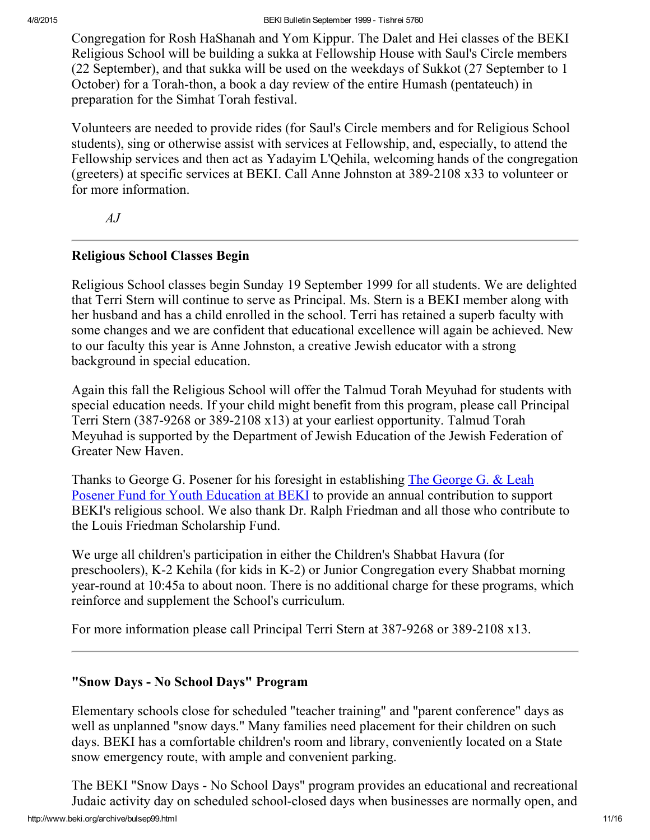Congregation for Rosh HaShanah and Yom Kippur. The Dalet and Hei classes of the BEKI Religious School will be building a sukka at Fellowship House with Saul's Circle members (22 September), and that sukka will be used on the weekdays of Sukkot (27 September to 1 October) for a Torah-thon, a book a day review of the entire Humash (pentateuch) in preparation for the Simhat Torah festival.

Volunteers are needed to provide rides (for Saul's Circle members and for Religious School students), sing or otherwise assist with services at Fellowship, and, especially, to attend the Fellowship services and then act as Yadayim L'Qehila, welcoming hands of the congregation (greeters) at specific services at BEKI. Call Anne Johnston at 389-2108 x33 to volunteer or for more information.

 $A.I$ 

### <span id="page-10-0"></span>Religious School Classes Begin

Religious School classes begin Sunday 19 September 1999 for all students. We are delighted that Terri Stern will continue to serve as Principal. Ms. Stern is a BEKI member along with her husband and has a child enrolled in the school. Terri has retained a superb faculty with some changes and we are confident that educational excellence will again be achieved. New to our faculty this year is Anne Johnston, a creative Jewish educator with a strong background in special education.

Again this fall the Religious School will offer the Talmud Torah Meyuhad for students with special education needs. If your child might benefit from this program, please call Principal Terri Stern (387-9268 or 389-2108 x13) at your earliest opportunity. Talmud Torah Meyuhad is supported by the Department of Jewish Education of the Jewish Federation of Greater New Haven.

Thanks to George G. Posener for his foresight in [establishing](http://www.beki.org/archive/endowment.html#PosenerYouth) The George G. & Leah Posener Fund for Youth Education at BEKI to provide an annual contribution to support BEKI's religious school. We also thank Dr. Ralph Friedman and all those who contribute to the Louis Friedman Scholarship Fund.

We urge all children's participation in either the Children's Shabbat Havura (for preschoolers), K2 Kehila (for kids in K2) or Junior Congregation every Shabbat morning year-round at 10:45a to about noon. There is no additional charge for these programs, which reinforce and supplement the School's curriculum.

For more information please call Principal Terri Stern at 387-9268 or 389-2108 x13.

# <span id="page-10-1"></span>"Snow Days - No School Days" Program

Elementary schools close for scheduled "teacher training" and "parent conference" days as well as unplanned "snow days." Many families need placement for their children on such days. BEKI has a comfortable children's room and library, conveniently located on a State snow emergency route, with ample and convenient parking.

http://www.beki.org/archive/bulsep99.html 11/16 The BEKI "Snow Days - No School Days" program provides an educational and recreational Judaic activity day on scheduled school-closed days when businesses are normally open, and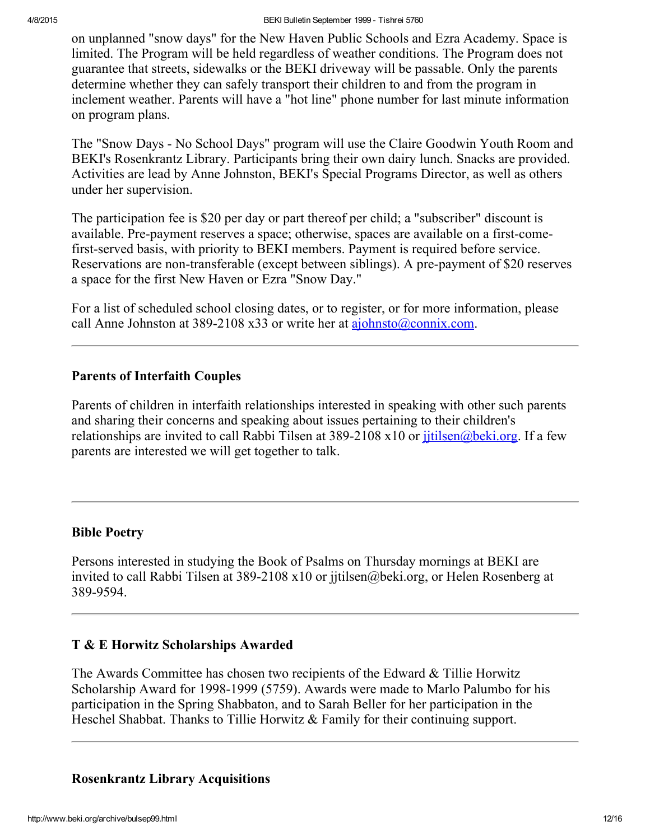on unplanned "snow days" for the New Haven Public Schools and Ezra Academy. Space is limited. The Program will be held regardless of weather conditions. The Program does not guarantee that streets, sidewalks or the BEKI driveway will be passable. Only the parents determine whether they can safely transport their children to and from the program in inclement weather. Parents will have a "hot line" phone number for last minute information on program plans.

The "Snow Days - No School Days" program will use the Claire Goodwin Youth Room and BEKI's Rosenkrantz Library. Participants bring their own dairy lunch. Snacks are provided. Activities are lead by Anne Johnston, BEKI's Special Programs Director, as well as others under her supervision.

The participation fee is \$20 per day or part thereof per child; a "subscriber" discount is available. Pre-payment reserves a space; otherwise, spaces are available on a first-comefirst-served basis, with priority to BEKI members. Payment is required before service. Reservations are non-transferable (except between siblings). A pre-payment of \$20 reserves a space for the first New Haven or Ezra "Snow Day."

For a list of scheduled school closing dates, or to register, or for more information, please call Anne Johnston at 389-2108 x33 or write her at [ajohnsto@connix.com.](mailto:ajohnsto@connix.com)

### <span id="page-11-3"></span>Parents of Interfaith Couples

Parents of children in interfaith relationships interested in speaking with other such parents and sharing their concerns and speaking about issues pertaining to their children's relationships are invited to call Rabbi Tilsen at 389-2108 x10 or *jitilsen@beki.org*. If a few parents are interested we will get together to talk.

### <span id="page-11-1"></span>Bible Poetry

Persons interested in studying the Book of Psalms on Thursday mornings at BEKI are invited to call Rabbi Tilsen at 389-2108 x10 or jjtilsen@beki.org, or Helen Rosenberg at 389-9594.

### <span id="page-11-2"></span>T & E Horwitz Scholarships Awarded

The Awards Committee has chosen two recipients of the Edward & Tillie Horwitz Scholarship Award for 1998-1999 (5759). Awards were made to Marlo Palumbo for his participation in the Spring Shabbaton, and to Sarah Beller for her participation in the Heschel Shabbat. Thanks to Tillie Horwitz & Family for their continuing support.

### <span id="page-11-0"></span>Rosenkrantz Library Acquisitions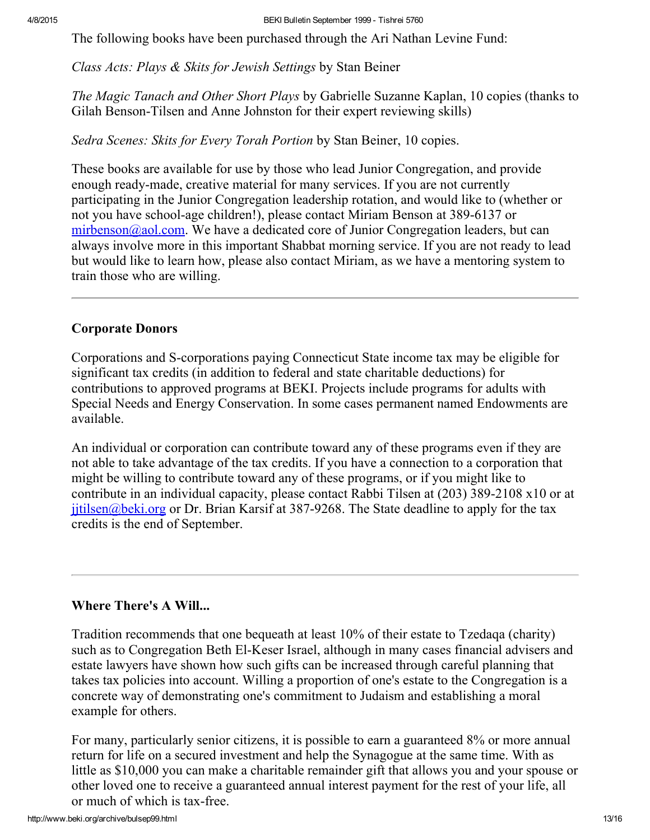The following books have been purchased through the Ari Nathan Levine Fund:

Class Acts: Plays & Skits for Jewish Settings by Stan Beiner

The Magic Tanach and Other Short Plays by Gabrielle Suzanne Kaplan, 10 copies (thanks to Gilah Benson-Tilsen and Anne Johnston for their expert reviewing skills)

Sedra Scenes: Skits for Every Torah Portion by Stan Beiner, 10 copies.

These books are available for use by those who lead Junior Congregation, and provide enough ready-made, creative material for many services. If you are not currently participating in the Junior Congregation leadership rotation, and would like to (whether or not you have school-age children!), please contact Miriam Benson at 389-6137 or [mirbenson@aol.com.](mailto:mirbenson@aol.com) We have a dedicated core of Junior Congregation leaders, but can always involve more in this important Shabbat morning service. If you are not ready to lead but would like to learn how, please also contact Miriam, as we have a mentoring system to train those who are willing.

# <span id="page-12-0"></span>Corporate Donors

Corporations and S-corporations paying Connecticut State income tax may be eligible for significant tax credits (in addition to federal and state charitable deductions) for contributions to approved programs at BEKI. Projects include programs for adults with Special Needs and Energy Conservation. In some cases permanent named Endowments are available.

An individual or corporation can contribute toward any of these programs even if they are not able to take advantage of the tax credits. If you have a connection to a corporation that might be willing to contribute toward any of these programs, or if you might like to contribute in an individual capacity, please contact Rabbi Tilsen at  $(203)$  389-2108 x10 or at  $j$ jtilsen@beki.org or Dr. Brian Karsif at 387-9268. The State deadline to apply for the tax credits is the end of September.

# <span id="page-12-1"></span>Where There's A Will...

Tradition recommends that one bequeath at least 10% of their estate to Tzedaqa (charity) such as to Congregation Beth El-Keser Israel, although in many cases financial advisers and estate lawyers have shown how such gifts can be increased through careful planning that takes tax policies into account. Willing a proportion of one's estate to the Congregation is a concrete way of demonstrating one's commitment to Judaism and establishing a moral example for others.

For many, particularly senior citizens, it is possible to earn a guaranteed 8% or more annual return for life on a secured investment and help the Synagogue at the same time. With as little as \$10,000 you can make a charitable remainder gift that allows you and your spouse or other loved one to receive a guaranteed annual interest payment for the rest of your life, all or much of which is tax-free.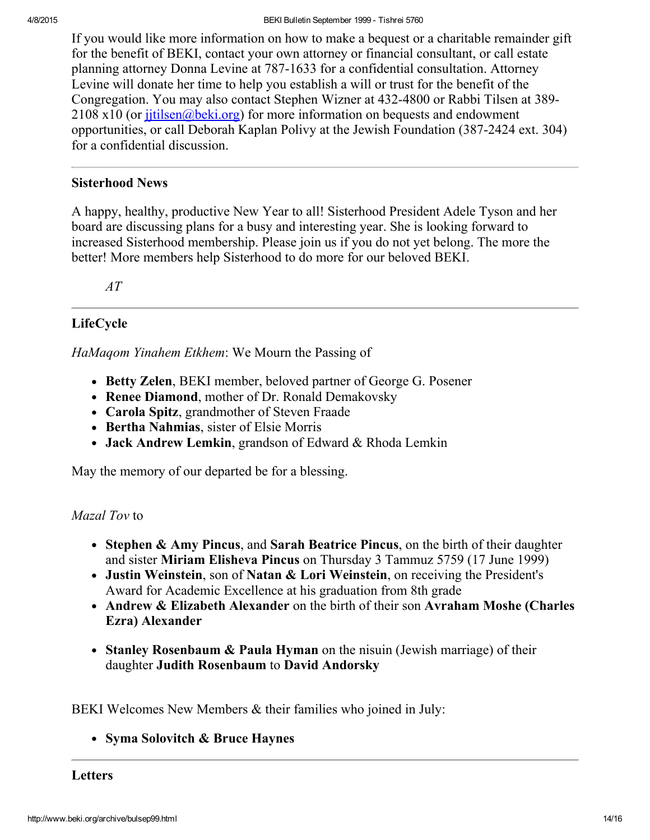If you would like more information on how to make a bequest or a charitable remainder gift for the benefit of BEKI, contact your own attorney or financial consultant, or call estate planning attorney Donna Levine at 787-1633 for a confidential consultation. Attorney Levine will donate her time to help you establish a will or trust for the benefit of the Congregation. You may also contact Stephen Wizner at 432-4800 or Rabbi Tilsen at 389- $2108 \times 10$  (or  $\frac{\text{jitilsen}}{\text{abeki.org}}$ ) for more information on bequests and endowment opportunities, or call Deborah Kaplan Polivy at the Jewish Foundation (387-2424 ext. 304) for a confidential discussion.

# <span id="page-13-0"></span>Sisterhood News

A happy, healthy, productive New Year to all! Sisterhood President Adele Tyson and her board are discussing plans for a busy and interesting year. She is looking forward to increased Sisterhood membership. Please join us if you do not yet belong. The more the better! More members help Sisterhood to do more for our beloved BEKI.

AT

# <span id="page-13-2"></span>LifeCycle

HaMaqom Yinahem Etkhem: We Mourn the Passing of

- Betty Zelen, BEKI member, beloved partner of George G. Posener
- Renee Diamond, mother of Dr. Ronald Demakovsky
- Carola Spitz, grandmother of Steven Fraade
- Bertha Nahmias, sister of Elsie Morris
- Jack Andrew Lemkin, grandson of Edward & Rhoda Lemkin

May the memory of our departed be for a blessing.

# Mazal Tov to

- Stephen & Amy Pincus, and Sarah Beatrice Pincus, on the birth of their daughter and sister Miriam Elisheva Pincus on Thursday 3 Tammuz 5759 (17 June 1999)
- Justin Weinstein, son of Natan & Lori Weinstein, on receiving the President's Award for Academic Excellence at his graduation from 8th grade
- Andrew & Elizabeth Alexander on the birth of their son Avraham Moshe (Charles Ezra) Alexander
- Stanley Rosenbaum & Paula Hyman on the nisuin (Jewish marriage) of their daughter Judith Rosenbaum to David Andorsky

BEKI Welcomes New Members & their families who joined in July:

• Syma Solovitch & Bruce Haynes

<span id="page-13-1"></span>Letters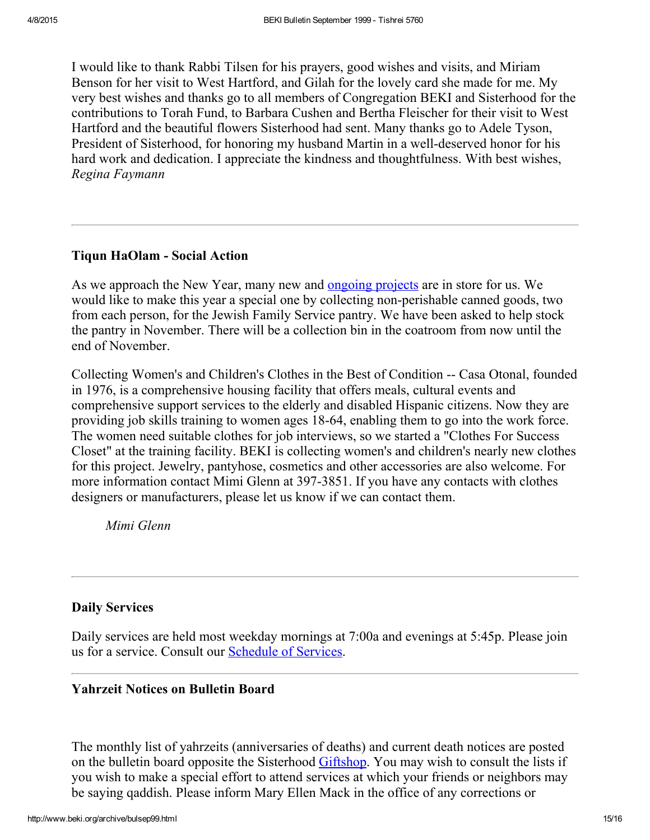I would like to thank Rabbi Tilsen for his prayers, good wishes and visits, and Miriam Benson for her visit to West Hartford, and Gilah for the lovely card she made for me. My very best wishes and thanks go to all members of Congregation BEKI and Sisterhood for the contributions to Torah Fund, to Barbara Cushen and Bertha Fleischer for their visit to West Hartford and the beautiful flowers Sisterhood had sent. Many thanks go to Adele Tyson, President of Sisterhood, for honoring my husband Martin in a well-deserved honor for his hard work and dedication. I appreciate the kindness and thoughtfulness. With best wishes, Regina Faymann

# <span id="page-14-2"></span>Tiqun HaOlam - Social Action

As we approach the New Year, many new and **[ongoing](http://www.beki.org/archive/tiqunola.html) projects** are in store for us. We would like to make this year a special one by collecting non-perishable canned goods, two from each person, for the Jewish Family Service pantry. We have been asked to help stock the pantry in November. There will be a collection bin in the coatroom from now until the end of November.

Collecting Women's and Children's Clothes in the Best of Condition -- Casa Otonal, founded in 1976, is a comprehensive housing facility that offers meals, cultural events and comprehensive support services to the elderly and disabled Hispanic citizens. Now they are providing job skills training to women ages 1864, enabling them to go into the work force. The women need suitable clothes for job interviews, so we started a "Clothes For Success Closet" at the training facility. BEKI is collecting women's and children's nearly new clothes for this project. Jewelry, pantyhose, cosmetics and other accessories are also welcome. For more information contact Mimi Glenn at 397-3851. If you have any contacts with clothes designers or manufacturers, please let us know if we can contact them.

Mimi Glenn

# <span id="page-14-1"></span>Daily Services

Daily services are held most weekday mornings at 7:00a and evenings at 5:45p. Please join us for a service. Consult our [Schedule](http://www.beki.org/archive/schedule.html) of Services.

# <span id="page-14-0"></span>Yahrzeit Notices on Bulletin Board

The monthly list of yahrzeits (anniversaries of deaths) and current death notices are posted on the bulletin board opposite the Sisterhood [Giftshop.](http://www.beki.org/archive/sisterhood.html#giftshop) You may wish to consult the lists if you wish to make a special effort to attend services at which your friends or neighbors may be saying qaddish. Please inform Mary Ellen Mack in the office of any corrections or